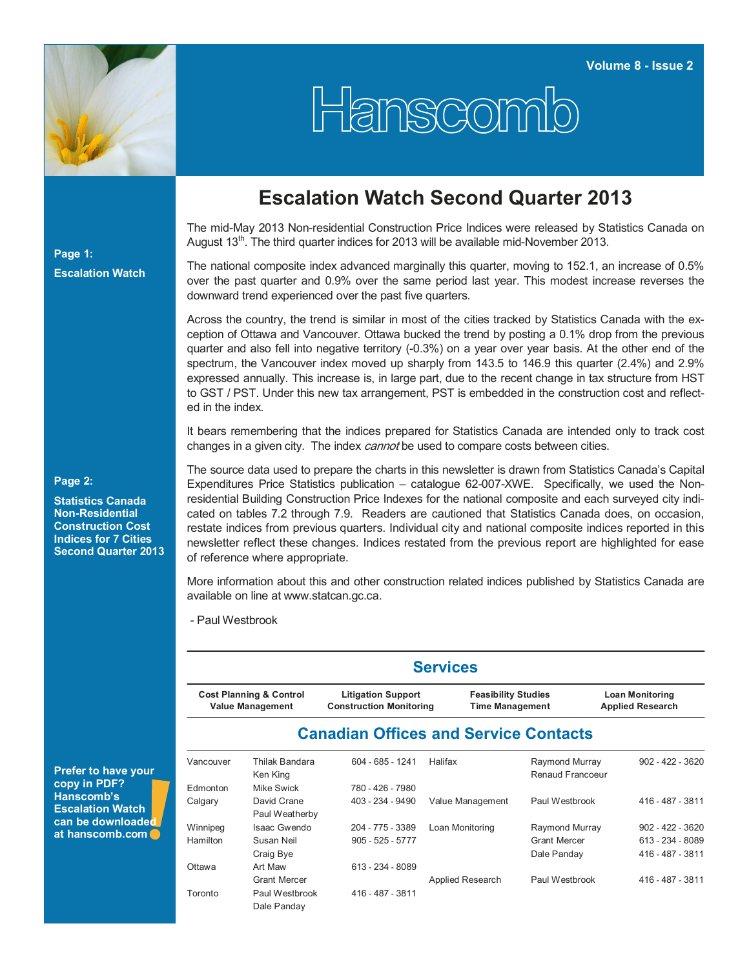

Hanscomb

# **Escalation Watch Second Quarter 2013**

The mid-May 2013 Non-residential Construction Price Indices were released by Statistics Canada on August  $13<sup>th</sup>$ . The third quarter indices for 2013 will be available mid-November 2013.

The national composite index advanced marginally this quarter, moving to 152.1, an increase of 0.5% over the past quarter and 0.9% over the same period last year. This modest increase reverses the downward trend experienced over the past five quarters.

Across the country, the trend is similar in most of the cities tracked by Statistics Canada with the exception of Ottawa and Vancouver. Ottawa bucked the trend by posting a 0.1% drop from the previous quarter and also fell into negative territory (-0.3%) on a year over year basis. At the other end of the spectrum, the Vancouver index moved up sharply from 143.5 to 146.9 this quarter (2.4%) and 2.9% expressed annually. This increase is, in large part, due to the recent change in tax structure from HST to GST / PST. Under this new tax arrangement, PST is embedded in the construction cost and reflected in the index.

It bears remembering that the indices prepared for Statistics Canada are intended only to track cost changes in a given city. The index *cannot* be used to compare costs between cities.

The source data used to prepare the charts in this newsletter is drawn from Statistics Canada's Capital Expenditures Price Statistics publication – catalogue 62-007-XWE. Specifically, we used the Nonresidential Building Construction Price Indexes for the national composite and each surveyed city indicated on tables 7.2 through 7.9. Readers are cautioned that Statistics Canada does, on occasion, restate indices from previous quarters. Individual city and national composite indices reported in this newsletter reflect these changes. Indices restated from the previous report are highlighted for ease of reference where appropriate.

More information about this and other construction related indices published by Statistics Canada are available on line at www.statcan.gc.ca.

- Paul Westbrook

| <b>Prefer to have your</b> |  |
|----------------------------|--|
| copy in PDF?               |  |
| Hanscomb's                 |  |
| <b>Escalation Watch</b>    |  |
| can be downloaded          |  |
| at hanscomb.com            |  |

### **Services**

| <b>Cost Planning &amp; Control</b> | <b>Litigation Support</b>      | <b>Feasibility Studies</b> | <b>Loan Monitoring</b>  |
|------------------------------------|--------------------------------|----------------------------|-------------------------|
| <b>Value Management</b>            | <b>Construction Monitoring</b> | <b>Time Management</b>     | <b>Applied Research</b> |
|                                    |                                |                            |                         |

## **Canadian Offices and Service Contacts**

| Vancouver | Thilak Bandara<br>Ken King    | 604 - 685 - 1241   | Halifax          | Raymond Murray<br>Renaud Francoeur | $902 - 422 - 3620$ |
|-----------|-------------------------------|--------------------|------------------|------------------------------------|--------------------|
| Edmonton  | Mike Swick                    | 780 - 426 - 7980   |                  |                                    |                    |
| Calgary   | David Crane<br>Paul Weatherby | 403 - 234 - 9490   | Value Management | Paul Westbrook                     | 416 - 487 - 3811   |
| Winnipeg  | Isaac Gwendo                  | 204 - 775 - 3389   | Loan Monitoring  | Raymond Murray                     | $902 - 422 - 3620$ |
| Hamilton  | Susan Neil                    | $905 - 525 - 5777$ |                  | <b>Grant Mercer</b>                | 613 - 234 - 8089   |
|           | Craig Bye                     |                    |                  | Dale Panday                        | 416 - 487 - 3811   |
| Ottawa    | Art Maw                       | 613 - 234 - 8089   |                  |                                    |                    |
|           | <b>Grant Mercer</b>           |                    | Applied Research | Paul Westbrook                     | 416 - 487 - 3811   |
| Toronto   | Paul Westbrook                | 416 - 487 - 3811   |                  |                                    |                    |
|           | Dale Panday                   |                    |                  |                                    |                    |

### **Page 2:**

**Page 1:** 

**Escalation Watch**

**Statistics Canada Non-Residential Construction Cost Indices for 7 Cities Second Quarter 2013**